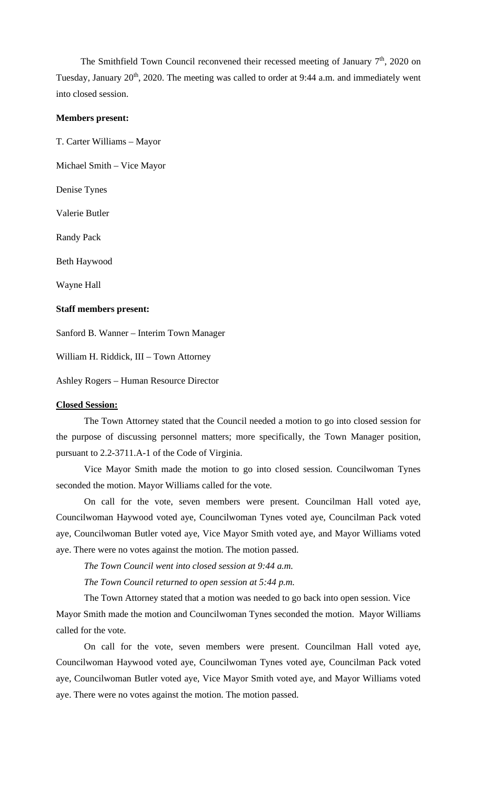The Smithfield Town Council reconvened their recessed meeting of January  $7<sup>th</sup>$ , 2020 on Tuesday, January 20<sup>th</sup>, 2020. The meeting was called to order at 9:44 a.m. and immediately went into closed session.

## **Members present:**

T. Carter Williams – Mayor

Michael Smith – Vice Mayor

Denise Tynes

Valerie Butler

Randy Pack

Beth Haywood

Wayne Hall

## **Staff members present:**

Sanford B. Wanner – Interim Town Manager

William H. Riddick, III – Town Attorney

Ashley Rogers – Human Resource Director

## **Closed Session:**

The Town Attorney stated that the Council needed a motion to go into closed session for the purpose of discussing personnel matters; more specifically, the Town Manager position, pursuant to 2.2-3711.A-1 of the Code of Virginia.

Vice Mayor Smith made the motion to go into closed session. Councilwoman Tynes seconded the motion. Mayor Williams called for the vote.

On call for the vote, seven members were present. Councilman Hall voted aye, Councilwoman Haywood voted aye, Councilwoman Tynes voted aye, Councilman Pack voted aye, Councilwoman Butler voted aye, Vice Mayor Smith voted aye, and Mayor Williams voted aye. There were no votes against the motion. The motion passed.

*The Town Council went into closed session at 9:44 a.m.*

*The Town Council returned to open session at 5:44 p.m.*

The Town Attorney stated that a motion was needed to go back into open session. Vice Mayor Smith made the motion and Councilwoman Tynes seconded the motion. Mayor Williams called for the vote.

On call for the vote, seven members were present. Councilman Hall voted aye, Councilwoman Haywood voted aye, Councilwoman Tynes voted aye, Councilman Pack voted aye, Councilwoman Butler voted aye, Vice Mayor Smith voted aye, and Mayor Williams voted aye. There were no votes against the motion. The motion passed.